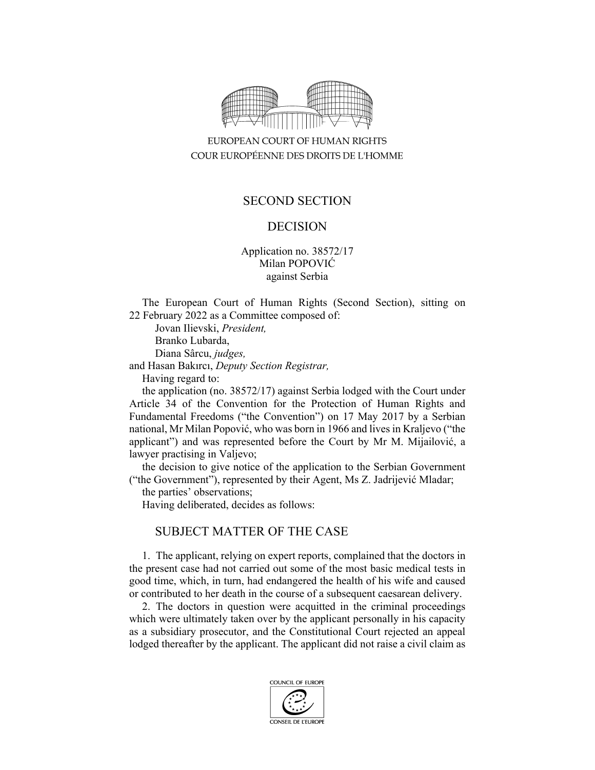

EUROPEAN COURT OF HUMAN RIGHTS COUR EUROPÉENNE DES DROITS DE L'HOMME

### SECOND SECTION

### DECISION

Application no. 38572/17 Milan POPOVIĆ against Serbia

The European Court of Human Rights (Second Section), sitting on 22 February 2022 as a Committee composed of:

 Jovan Ilievski, *President,*  Branko Lubarda, Diana Sârcu, *judges,* and Hasan Bakırcı, *Deputy Section Registrar,*

Having regard to:

the application (no. 38572/17) against Serbia lodged with the Court under Article 34 of the Convention for the Protection of Human Rights and Fundamental Freedoms ("the Convention") on 17 May 2017 by a Serbian national, Mr Milan Popović, who was born in 1966 and lives in Kraljevo ("the applicant") and was represented before the Court by Mr M. Mijailović, a lawyer practising in Valjevo;

the decision to give notice of the application to the Serbian Government ("the Government"), represented by their Agent, Ms Z. Jadrijević Mladar;

the parties' observations;

Having deliberated, decides as follows:

# SUBJECT MATTER OF THE CASE

1. The applicant, relying on expert reports, complained that the doctors in the present case had not carried out some of the most basic medical tests in good time, which, in turn, had endangered the health of his wife and caused or contributed to her death in the course of a subsequent caesarean delivery.

2. The doctors in question were acquitted in the criminal proceedings which were ultimately taken over by the applicant personally in his capacity as a subsidiary prosecutor, and the Constitutional Court rejected an appeal lodged thereafter by the applicant. The applicant did not raise a civil claim as

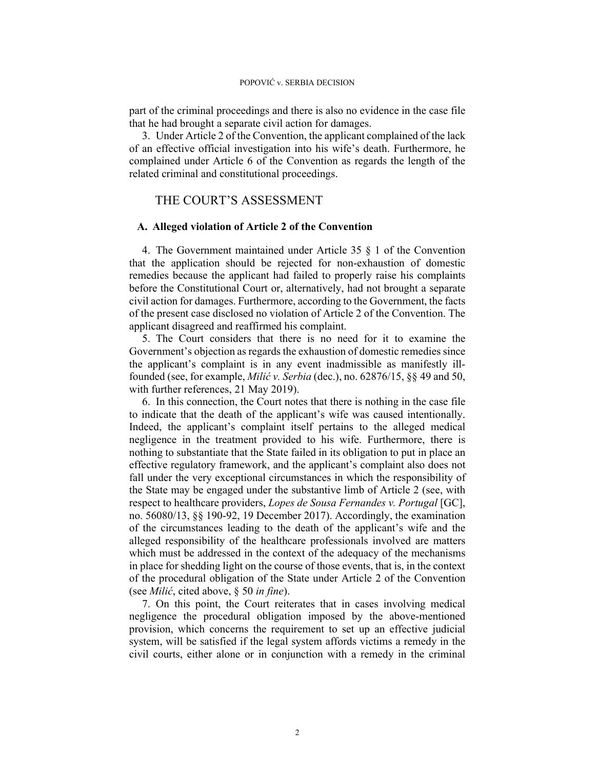part of the criminal proceedings and there is also no evidence in the case file that he had brought a separate civil action for damages.

3. Under Article 2 of the Convention, the applicant complained of the lack of an effective official investigation into his wife's death. Furthermore, he complained under Article 6 of the Convention as regards the length of the related criminal and constitutional proceedings.

## THE COURT'S ASSESSMENT

#### **A. Alleged violation of Article 2 of the Convention**

4. The Government maintained under Article 35 § 1 of the Convention that the application should be rejected for non-exhaustion of domestic remedies because the applicant had failed to properly raise his complaints before the Constitutional Court or, alternatively, had not brought a separate civil action for damages. Furthermore, according to the Government, the facts of the present case disclosed no violation of Article 2 of the Convention. The applicant disagreed and reaffirmed his complaint.

5. The Court considers that there is no need for it to examine the Government's objection as regards the exhaustion of domestic remedies since the applicant's complaint is in any event inadmissible as manifestly illfounded (see, for example, *Milić v. Serbia* (dec.), no. 62876/15, §§ 49 and 50, with further references, 21 May 2019).

6. In this connection, the Court notes that there is nothing in the case file to indicate that the death of the applicant's wife was caused intentionally. Indeed, the applicant's complaint itself pertains to the alleged medical negligence in the treatment provided to his wife. Furthermore, there is nothing to substantiate that the State failed in its obligation to put in place an effective regulatory framework, and the applicant's complaint also does not fall under the very exceptional circumstances in which the responsibility of the State may be engaged under the substantive limb of Article 2 (see, with respect to healthcare providers, *Lopes de Sousa Fernandes v. Portugal* [GC], no. 56080/13, §§ 190-92, 19 December 2017). Accordingly, the examination of the circumstances leading to the death of the applicant's wife and the alleged responsibility of the healthcare professionals involved are matters which must be addressed in the context of the adequacy of the mechanisms in place for shedding light on the course of those events, that is, in the context of the procedural obligation of the State under Article 2 of the Convention (see *Milić*, cited above, § 50 *in fine*).

7. On this point, the Court reiterates that in cases involving medical negligence the procedural obligation imposed by the above-mentioned provision, which concerns the requirement to set up an effective judicial system, will be satisfied if the legal system affords victims a remedy in the civil courts, either alone or in conjunction with a remedy in the criminal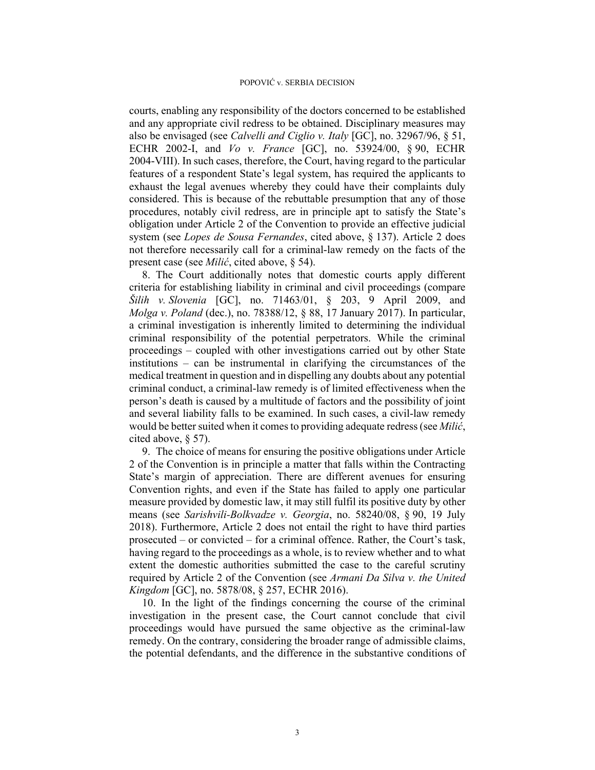courts, enabling any responsibility of the doctors concerned to be established and any appropriate civil redress to be obtained. Disciplinary measures may also be envisaged (see *Calvelli and Ciglio v. Italy* [GC], no. 32967/96, § 51, ECHR 2002-I, and *Vo v. France* [GC], no. 53924/00, § 90, ECHR 2004-VIII). In such cases, therefore, the Court, having regard to the particular features of a respondent State's legal system, has required the applicants to exhaust the legal avenues whereby they could have their complaints duly considered. This is because of the rebuttable presumption that any of those procedures, notably civil redress, are in principle apt to satisfy the State's obligation under Article 2 of the Convention to provide an effective judicial system (see *Lopes de Sousa Fernandes*, cited above, § 137). Article 2 does not therefore necessarily call for a criminal-law remedy on the facts of the present case (see *Milić*, cited above, § 54).

8. The Court additionally notes that domestic courts apply different criteria for establishing liability in criminal and civil proceedings (compare *Šilih v. Slovenia* [GC], no. 71463/01, § 203, 9 April 2009, and *Molga v. Poland* (dec.), no. 78388/12, § 88, 17 January 2017). In particular, a criminal investigation is inherently limited to determining the individual criminal responsibility of the potential perpetrators. While the criminal proceedings – coupled with other investigations carried out by other State institutions – can be instrumental in clarifying the circumstances of the medical treatment in question and in dispelling any doubts about any potential criminal conduct, a criminal-law remedy is of limited effectiveness when the person's death is caused by a multitude of factors and the possibility of joint and several liability falls to be examined. In such cases, a civil-law remedy would be better suited when it comes to providing adequate redress (see *Milić*, cited above, § 57).

9. The choice of means for ensuring the positive obligations under Article 2 of the Convention is in principle a matter that falls within the Contracting State's margin of appreciation. There are different avenues for ensuring Convention rights, and even if the State has failed to apply one particular measure provided by domestic law, it may still fulfil its positive duty by other means (see *Sarishvili-Bolkvadze v. Georgia*, no. 58240/08, § 90, 19 July 2018). Furthermore, Article 2 does not entail the right to have third parties prosecuted – or convicted – for a criminal offence. Rather, the Court's task, having regard to the proceedings as a whole, is to review whether and to what extent the domestic authorities submitted the case to the careful scrutiny required by Article 2 of the Convention (see *Armani Da Silva v. the United Kingdom* [GC], no. 5878/08, § 257, ECHR 2016).

10. In the light of the findings concerning the course of the criminal investigation in the present case, the Court cannot conclude that civil proceedings would have pursued the same objective as the criminal-law remedy. On the contrary, considering the broader range of admissible claims, the potential defendants, and the difference in the substantive conditions of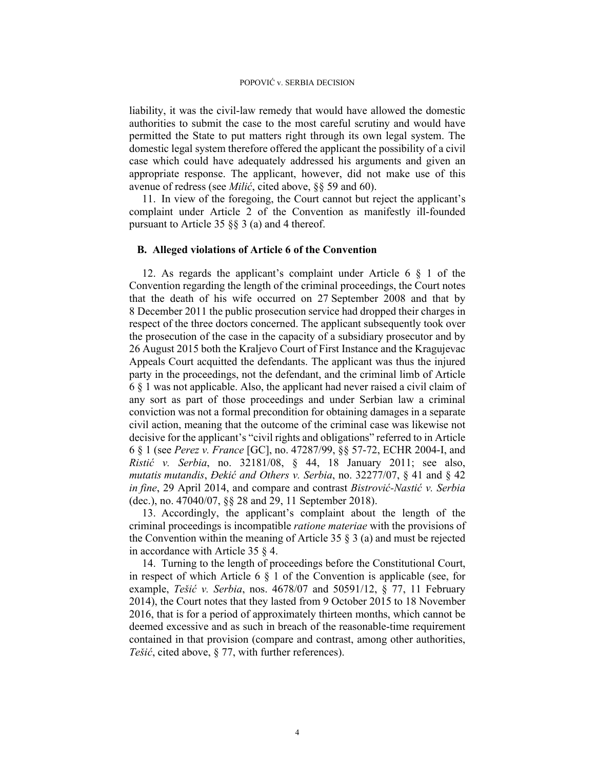liability, it was the civil-law remedy that would have allowed the domestic authorities to submit the case to the most careful scrutiny and would have permitted the State to put matters right through its own legal system. The domestic legal system therefore offered the applicant the possibility of a civil case which could have adequately addressed his arguments and given an appropriate response. The applicant, however, did not make use of this avenue of redress (see *Milić*, cited above, §§ 59 and 60).

11. In view of the foregoing, the Court cannot but reject the applicant's complaint under Article 2 of the Convention as manifestly ill-founded pursuant to Article 35  $\S$ § 3 (a) and 4 thereof.

#### **B. Alleged violations of Article 6 of the Convention**

12. As regards the applicant's complaint under Article 6 § 1 of the Convention regarding the length of the criminal proceedings, the Court notes that the death of his wife occurred on 27 September 2008 and that by 8 December 2011 the public prosecution service had dropped their charges in respect of the three doctors concerned. The applicant subsequently took over the prosecution of the case in the capacity of a subsidiary prosecutor and by 26 August 2015 both the Kraljevo Court of First Instance and the Kragujevac Appeals Court acquitted the defendants. The applicant was thus the injured party in the proceedings, not the defendant, and the criminal limb of Article 6 § 1 was not applicable. Also, the applicant had never raised a civil claim of any sort as part of those proceedings and under Serbian law a criminal conviction was not a formal precondition for obtaining damages in a separate civil action, meaning that the outcome of the criminal case was likewise not decisive for the applicant's "civil rights and obligations" referred to in Article 6 § 1 (see *Perez v. France* [GC], no. 47287/99, §§ 57-72, ECHR 2004-I, and *Ristić v. Serbia*, no. 32181/08, § 44, 18 January 2011; see also, *mutatis mutandis*, *Đekić and Others v. Serbia*, no. 32277/07, § 41 and § 42 *in fine*, 29 April 2014, and compare and contrast *Bistrović-Nastić v. Serbia* (dec.), no. 47040/07, §§ 28 and 29, 11 September 2018).

13. Accordingly, the applicant's complaint about the length of the criminal proceedings is incompatible *ratione materiae* with the provisions of the Convention within the meaning of Article 35  $\S$  3 (a) and must be rejected in accordance with Article 35 § 4.

14. Turning to the length of proceedings before the Constitutional Court, in respect of which Article 6  $\S$  1 of the Convention is applicable (see, for example, *Tešić v. Serbia*, nos. 4678/07 and 50591/12, § 77, 11 February 2014), the Court notes that they lasted from 9 October 2015 to 18 November 2016, that is for a period of approximately thirteen months, which cannot be deemed excessive and as such in breach of the reasonable-time requirement contained in that provision (compare and contrast, among other authorities, *Tešić*, cited above, § 77, with further references).